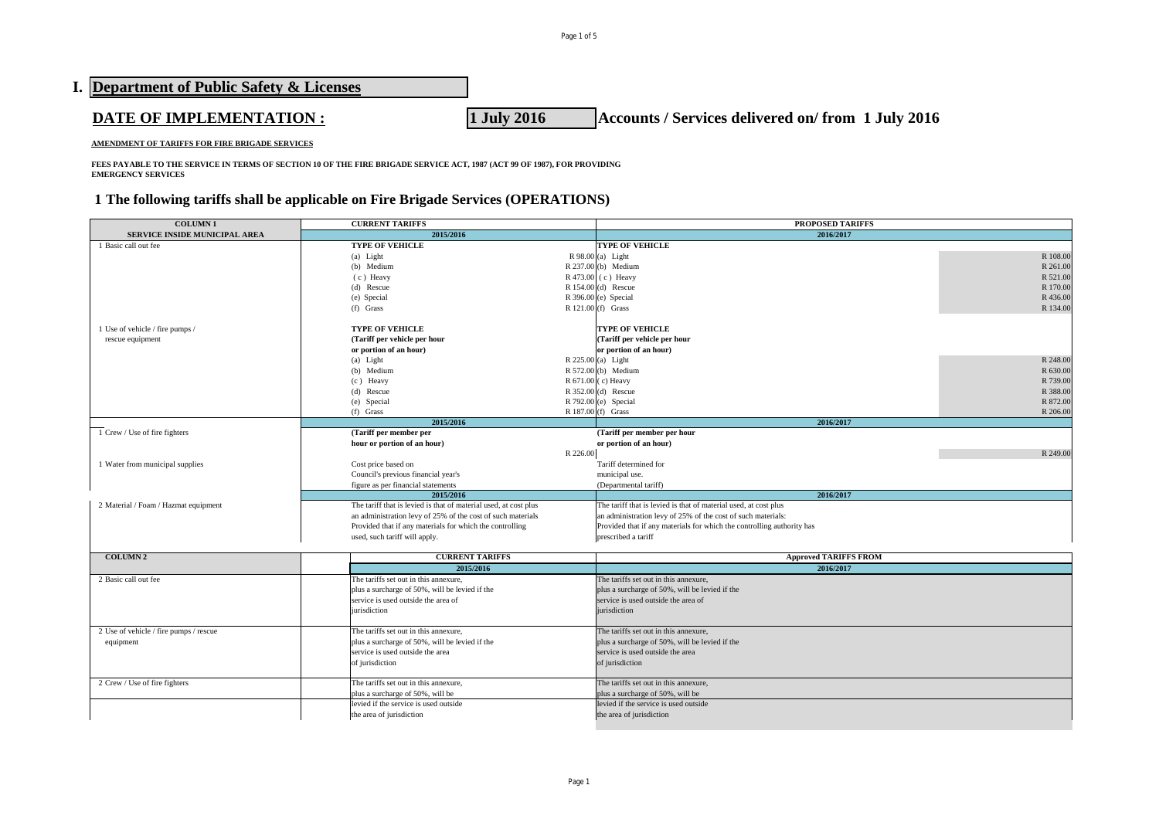| I. Department of Public Safety & Licenses      |                                                                  |
|------------------------------------------------|------------------------------------------------------------------|
| <b>DATE OF IMPLEMENTATION :</b>                | 1 July 2016<br>Accounts / Services delivered on/from 1 July 2016 |
| AMENDMENT OF TARIFFS FOR FIRE BRIGADE SERVICES |                                                                  |

**FEES PAYABLE TO THE SERVICE IN TERMS OF SECTION 10 OF THE FIRE BRIGADE SERVICE ACT, 1987 (ACT 99 OF 1987), FOR PROVIDING EMERGENCY SERVICES**

# **1 The following tariffs shall be applicable on Fire Brigade Services (OPERATIONS)**

| <b>COLUMN1</b>                             | <b>CURRENT TARIFFS</b>                                                    |                          | PROPOSED TARIFFS                                                       |          |  |
|--------------------------------------------|---------------------------------------------------------------------------|--------------------------|------------------------------------------------------------------------|----------|--|
| <b>SERVICE INSIDE MUNICIPAL AREA</b>       | 2015/2016                                                                 |                          | 2016/2017                                                              |          |  |
| 1 Basic call out fee                       | <b>TYPE OF VEHICLE</b>                                                    |                          | <b>TYPE OF VEHICLE</b>                                                 |          |  |
|                                            | (a) Light                                                                 |                          | $R$ 98.00 (a) Light                                                    | R 108.00 |  |
|                                            | (b) Medium                                                                |                          | R 237.00 (b) Medium                                                    | R 261.00 |  |
|                                            | (c) Heavy                                                                 |                          | R 473.00 (c) Heavy                                                     | R 521.00 |  |
|                                            | (d) Rescue                                                                |                          | R 154.00 (d) Rescue                                                    | R 170.00 |  |
|                                            | (e) Special                                                               |                          | R 396.00 (e) Special                                                   | R 436.00 |  |
|                                            | $(f)$ Grass                                                               |                          | R 121.00 (f) Grass                                                     | R 134.00 |  |
|                                            |                                                                           |                          |                                                                        |          |  |
| 1 Use of vehicle / fire pumps /            | <b>TYPE OF VEHICLE</b>                                                    |                          | <b>TYPE OF VEHICLE</b>                                                 |          |  |
| rescue equipment                           | (Tariff per vehicle per hour                                              |                          | (Tariff per vehicle per hour                                           |          |  |
|                                            | or portion of an hour)                                                    |                          | or portion of an hour)                                                 |          |  |
|                                            | (a) Light                                                                 |                          | R 225.00 (a) Light                                                     | R 248.00 |  |
|                                            | (b) Medium                                                                |                          | R 572.00 (b) Medium                                                    | R 630.00 |  |
|                                            | (c) Heavy                                                                 |                          | R 671.00 (c) Heavy                                                     | R 739.00 |  |
|                                            |                                                                           |                          |                                                                        |          |  |
|                                            | (d) Rescue                                                                |                          | $R$ 352.00 (d) Rescue                                                  | R 388.00 |  |
|                                            | (e) Special                                                               |                          | R 792.00 (e) Special                                                   | R 872.00 |  |
|                                            | $(f)$ Grass                                                               |                          | R 187.00 (f) Grass                                                     | R 206.00 |  |
|                                            | 2015/2016                                                                 |                          | 2016/2017                                                              |          |  |
| $\overline{1}$ Crew / Use of fire fighters | (Tariff per member per                                                    |                          | (Tariff per member per hour                                            |          |  |
|                                            | hour or portion of an hour)                                               |                          | or portion of an hour)                                                 |          |  |
|                                            |                                                                           | R 226.00                 |                                                                        | R 249.00 |  |
| 1 Water from municipal supplies            | Cost price based on                                                       |                          | Tariff determined for                                                  |          |  |
|                                            | Council's previous financial year's                                       |                          | municipal use.                                                         |          |  |
|                                            | figure as per financial statements                                        |                          | (Departmental tariff)                                                  |          |  |
|                                            | 2015/2016                                                                 |                          | 2016/2017                                                              |          |  |
| 2 Material / Foam / Hazmat equipment       | The tariff that is levied is that of material used, at cost plus          |                          | The tariff that is levied is that of material used, at cost plus       |          |  |
|                                            | an administration levy of 25% of the cost of such materials               |                          | an administration levy of 25% of the cost of such materials:           |          |  |
|                                            | Provided that if any materials for which the controlling                  |                          | Provided that if any materials for which the controlling authority has |          |  |
| used, such tariff will apply.              |                                                                           |                          | prescribed a tariff                                                    |          |  |
|                                            |                                                                           |                          |                                                                        |          |  |
| <b>COLUMN 2</b>                            | <b>CURRENT TARIFFS</b>                                                    |                          | <b>Approved TARIFFS FROM</b>                                           |          |  |
|                                            | 2015/2016                                                                 |                          | 2016/2017                                                              |          |  |
| 2 Basic call out fee                       | The tariffs set out in this annexure,                                     |                          | The tariffs set out in this annexure,                                  |          |  |
|                                            | plus a surcharge of 50%, will be levied if the                            |                          | plus a surcharge of 50%, will be levied if the                         |          |  |
|                                            | service is used outside the area of                                       |                          | service is used outside the area of                                    |          |  |
|                                            | jurisdiction                                                              |                          | jurisdiction                                                           |          |  |
|                                            |                                                                           |                          |                                                                        |          |  |
| 2 Use of vehicle / fire pumps / rescue     | The tariffs set out in this annexure,                                     |                          | The tariffs set out in this annexure,                                  |          |  |
| equipment                                  | plus a surcharge of 50%, will be levied if the                            |                          | plus a surcharge of 50%, will be levied if the                         |          |  |
|                                            | service is used outside the area                                          |                          | service is used outside the area                                       |          |  |
|                                            | of jurisdiction                                                           |                          | of jurisdiction                                                        |          |  |
|                                            |                                                                           |                          |                                                                        |          |  |
| 2 Crew / Use of fire fighters              | The tariffs set out in this annexure.                                     |                          | The tariffs set out in this annexure.                                  |          |  |
|                                            |                                                                           |                          | plus a surcharge of 50%, will be                                       |          |  |
|                                            | plus a surcharge of 50%, will be<br>levied if the service is used outside |                          | levied if the service is used outside                                  |          |  |
|                                            |                                                                           |                          | the area of jurisdiction                                               |          |  |
|                                            |                                                                           | the area of jurisdiction |                                                                        |          |  |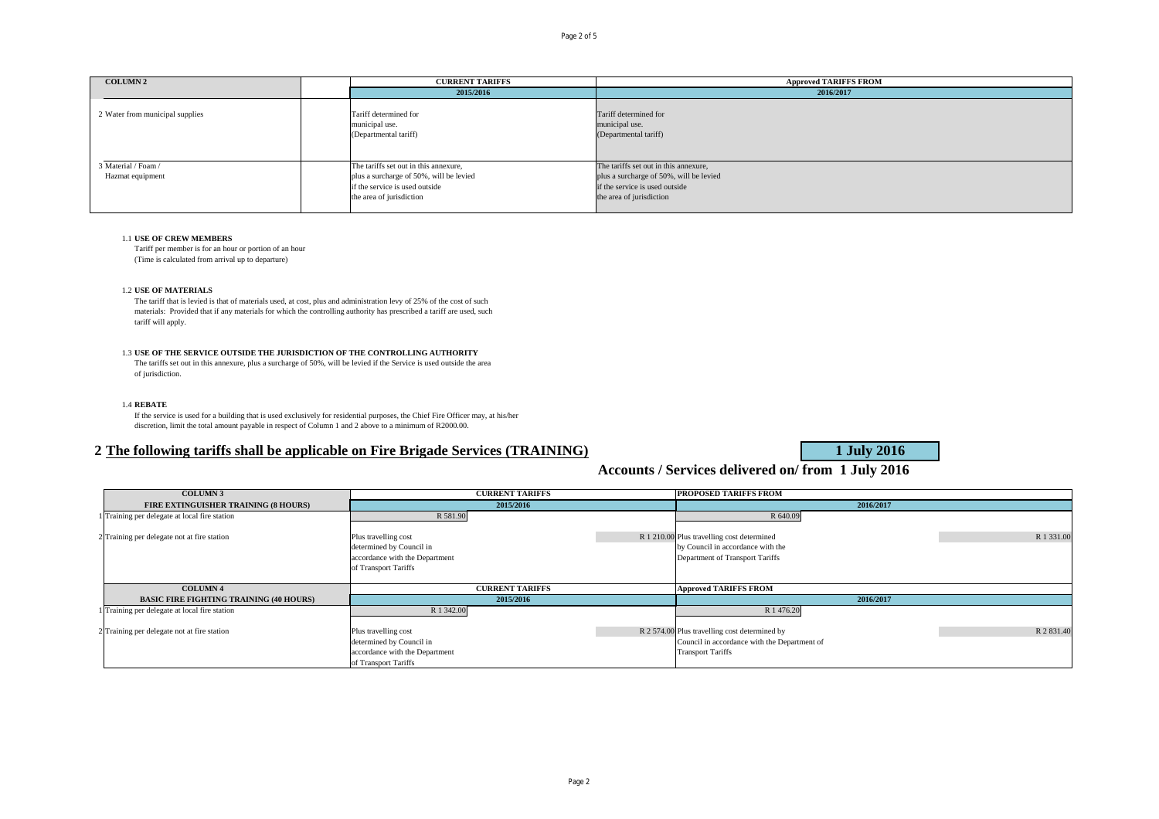| <b>COLUMN 2</b>                 | <b>CURRENT TARIFFS</b>                                           | <b>Approved TARIFFS FROM</b>                                     |
|---------------------------------|------------------------------------------------------------------|------------------------------------------------------------------|
|                                 | 2015/2016                                                        | 2016/2017                                                        |
| 2 Water from municipal supplies | Tariff determined for<br>municipal use.<br>(Departmental tariff) | Tariff determined for<br>municipal use.<br>(Departmental tariff) |
| 3 Material / Foam /             | The tariffs set out in this annexure,                            | The tariffs set out in this annexure,                            |
| Hazmat equipment                | plus a surcharge of 50%, will be levied                          | plus a surcharge of 50%, will be levied                          |
|                                 | if the service is used outside                                   | if the service is used outside                                   |
|                                 | the area of jurisdiction                                         | the area of jurisdiction                                         |

#### 1.1 **USE OF CREW MEMBERS**

Tariff per member is for an hour or portion of an hour (Time is calculated from arrival up to departure)

#### 1.2 **USE OF MATERIALS**

The tariff that is levied is that of materials used, at cost, plus and administration levy of 25% of the cost of such materials: Provided that if any materials for which the controlling authority has prescribed a tariff are used, such tariff will apply.

#### 1.3 **USE OF THE SERVICE OUTSIDE THE JURISDICTION OF THE CONTROLLING AUTHORITY**

The tariffs set out in this annexure, plus a surcharge of 50%, will be levied if the Service is used outside the area of jurisdiction.

#### 1.4 **REBATE**

If the service is used for a building that is used exclusively for residential purposes, the Chief Fire Officer may, at his/her discretion, limit the total amount payable in respect of Column 1 and 2 above to a minimum of R2000.00.

## **2 The following tariffs shall be applicable on Fire Brigade Services (TRAINING) 1 July 2016**

**Accounts / Services delivered on/ from 1 July 2016**

| <b>COLUMN 3</b>                                | <b>CURRENT TARIFFS</b>                                                             | PROPOSED TARIFFS FROM                                                                                                                   |  |  |
|------------------------------------------------|------------------------------------------------------------------------------------|-----------------------------------------------------------------------------------------------------------------------------------------|--|--|
| <b>FIRE EXTINGUISHER TRAINING (8 HOURS)</b>    | 2015/2016                                                                          | 2016/2017                                                                                                                               |  |  |
| 1 Training per delegate at local fire station  | R 581.90                                                                           | R 640.09                                                                                                                                |  |  |
| 2 Training per delegate not at fire station    | Plus travelling cost<br>determined by Council in                                   | R 1 331.00<br>R 1 210.00 Plus travelling cost determined<br>by Council in accordance with the                                           |  |  |
|                                                | accordance with the Department<br>of Transport Tariffs                             | Department of Transport Tariffs                                                                                                         |  |  |
| <b>COLUMN 4</b>                                | <b>CURRENT TARIFFS</b>                                                             | <b>Approved TARIFFS FROM</b>                                                                                                            |  |  |
| <b>BASIC FIRE FIGHTING TRAINING (40 HOURS)</b> | 2015/2016                                                                          | 2016/2017                                                                                                                               |  |  |
| 1 Training per delegate at local fire station  | R 1 342.00                                                                         | R 1 476.20                                                                                                                              |  |  |
| 2 Training per delegate not at fire station    | Plus travelling cost<br>determined by Council in<br>accordance with the Department | R 2 831.40<br>R 2 574.00 Plus travelling cost determined by<br>Council in accordance with the Department of<br><b>Transport Tariffs</b> |  |  |
|                                                | of Transport Tariffs                                                               |                                                                                                                                         |  |  |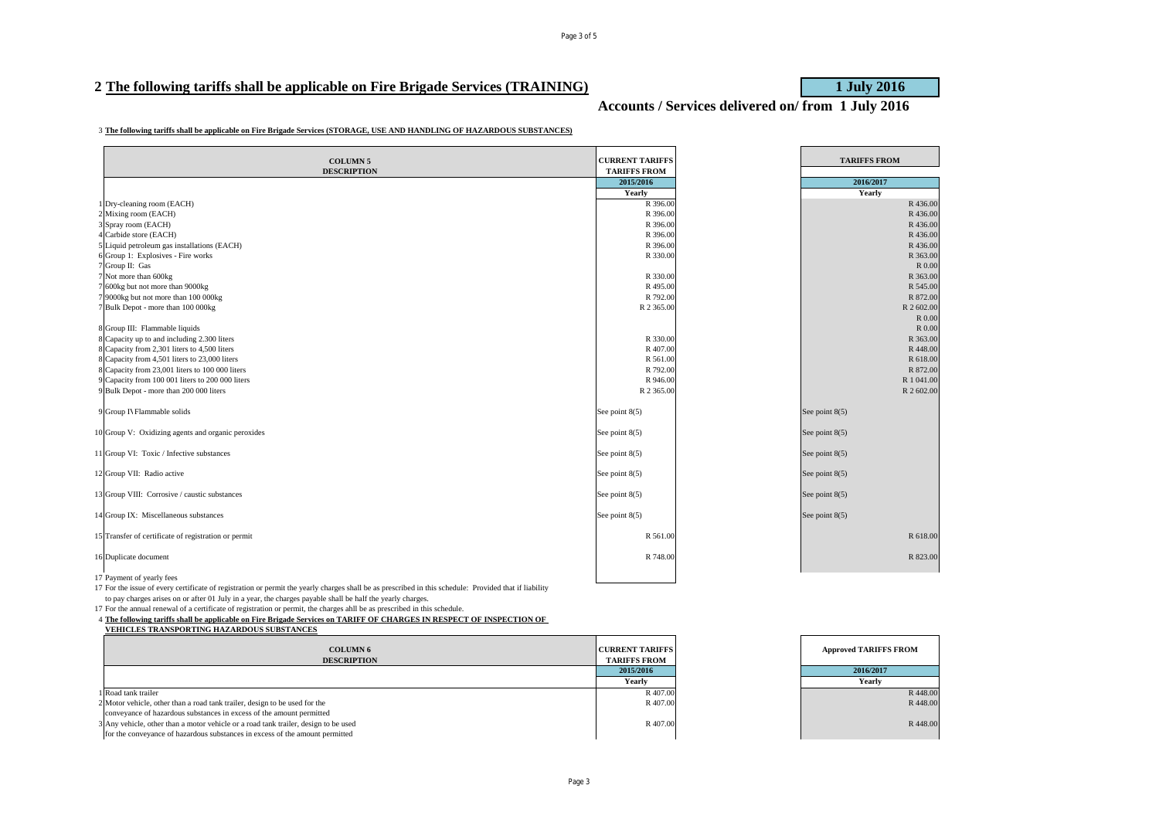## 2 The following tariffs shall be applicable on Fire Brigade Services (TRAINING) **1 July 2016**

**Accounts / Services delivered on/ from 1 July 2016**

#### **The following tariffs shall be applicable on Fire Brigade Services (STORAGE, USE AND HANDLING OF HAZARDOUS SUBSTANCES)**

| <b>COLUMN 5</b>                                      | <b>CURRENT TARIFFS</b> | <b>TARIFFS FROM</b> |
|------------------------------------------------------|------------------------|---------------------|
| <b>DESCRIPTION</b>                                   | <b>TARIFFS FROM</b>    |                     |
|                                                      | 2015/2016              | 2016/2017           |
|                                                      | Yearly                 | Yearly              |
| Dry-cleaning room (EACH)                             | R 396.00               | R 436.00            |
| 2 Mixing room (EACH)                                 | R 396.00               | R 436.00            |
| 3 Spray room (EACH)                                  | R 396.00               | R 436.00            |
| 4 Carbide store (EACH)                               | R 396.00               | R 436.00            |
| 5 Liquid petroleum gas installations (EACH)          | R 396.00               | R 436.00            |
| 6 Group 1: Explosives - Fire works                   | R 330.00               | R 363.00            |
| 7 Group II: Gas                                      |                        | R 0.00              |
| 7 Not more than 600kg                                | R 330.00               | R 363.00            |
| 7 600kg but not more than 9000kg                     | R495.00                | R 545.00            |
| 9000kg but not more than 100 000kg                   | R 792.00               | R 872.00            |
| 7 Bulk Depot - more than 100 000kg                   | R 2 365.00             | R 2 602.00          |
|                                                      |                        | R 0.00              |
| 8 Group III: Flammable liquids                       |                        | R 0.00              |
| 8 Capacity up to and including 2.300 liters          | R 330.00               | R 363.00            |
| 8 Capacity from 2,301 liters to 4,500 liters         | R 407.00               | R 448.00            |
| 8 Capacity from 4,501 liters to 23,000 liters        | R 561.00               | R 618.00            |
| 8 Capacity from 23,001 liters to 100 000 liters      | R 792.00               | R 872.00            |
| 9 Capacity from 100 001 liters to 200 000 liters     | R 946.00               | R 1 041.00          |
| 9 Bulk Depot - more than 200 000 liters              | R 2 365.00             | R 2 602.00          |
| 9 Group IV Flammable solids                          | See point $8(5)$       | See point 8(5)      |
| 10 Group V: Oxidizing agents and organic peroxides   | See point $8(5)$       | See point $8(5)$    |
| 11 Group VI: Toxic / Infective substances            | See point $8(5)$       | See point $8(5)$    |
| 12 Group VII: Radio active                           | See point $8(5)$       | See point $8(5)$    |
| 13 Group VIII: Corrosive / caustic substances        | See point $8(5)$       | See point $8(5)$    |
| 14 Group IX: Miscellaneous substances                | See point $8(5)$       | See point 8(5)      |
| 15 Transfer of certificate of registration or permit | R 561.00               | R 618.00            |
| 16 Duplicate document                                | R 748.00               | R 823.00            |
| 17 Payment of yearly fees                            |                        |                     |

 For the issue of every certificate of registration or permit the yearly charges shall be as prescribed in this schedule: Provided that if liability to pay charges arises on or after 01 July in a year, the charges payable shall be half the yearly charges.

For the annual renewal of a certificate of registration or permit, the charges ahll be as prescribed in this schedule.

**The following tariffs shall be applicable on Fire Brigade Services on TARIFF OF CHARGES IN RESPECT OF INSPECTION OF** 

**VEHICLES TRANSPORTING HAZARDOUS SUBSTANCES**

| <b>COLUMN 6</b><br><b>DESCRIPTION</b>                                               | <b>CURRENT TARIFFS</b><br><b>TARIFFS FROM</b> | <b>Approved TARIFFS FROM</b> |
|-------------------------------------------------------------------------------------|-----------------------------------------------|------------------------------|
|                                                                                     | 2015/2016                                     | 2016/2017                    |
|                                                                                     | Yearly                                        | Yearly                       |
| 1 Road tank trailer                                                                 | R 407.00                                      | R 448.00                     |
| 2 Motor vehicle, other than a road tank trailer, design to be used for the          | R 407.00                                      | R 448.00                     |
| conveyance of hazardous substances in excess of the amount permitted                |                                               |                              |
| 3 Any vehicle, other than a motor vehicle or a road tank trailer, design to be used | R 407.00                                      | R 448.00                     |
| for the conveyance of hazardous substances in excess of the amount permitted        |                                               |                              |

| <b>CURRENT TARIFFS</b><br><b>TARIFFS FROM</b> |  | <b>Approved TARIFFS FROM</b> |  |  |
|-----------------------------------------------|--|------------------------------|--|--|
| 2015/2016                                     |  | 2016/2017                    |  |  |
| Yearly                                        |  | Yearly                       |  |  |
| R 407.00                                      |  | R 448.00                     |  |  |
| R 407.00                                      |  | R 448.00                     |  |  |
| R 407.00                                      |  | R448.00                      |  |  |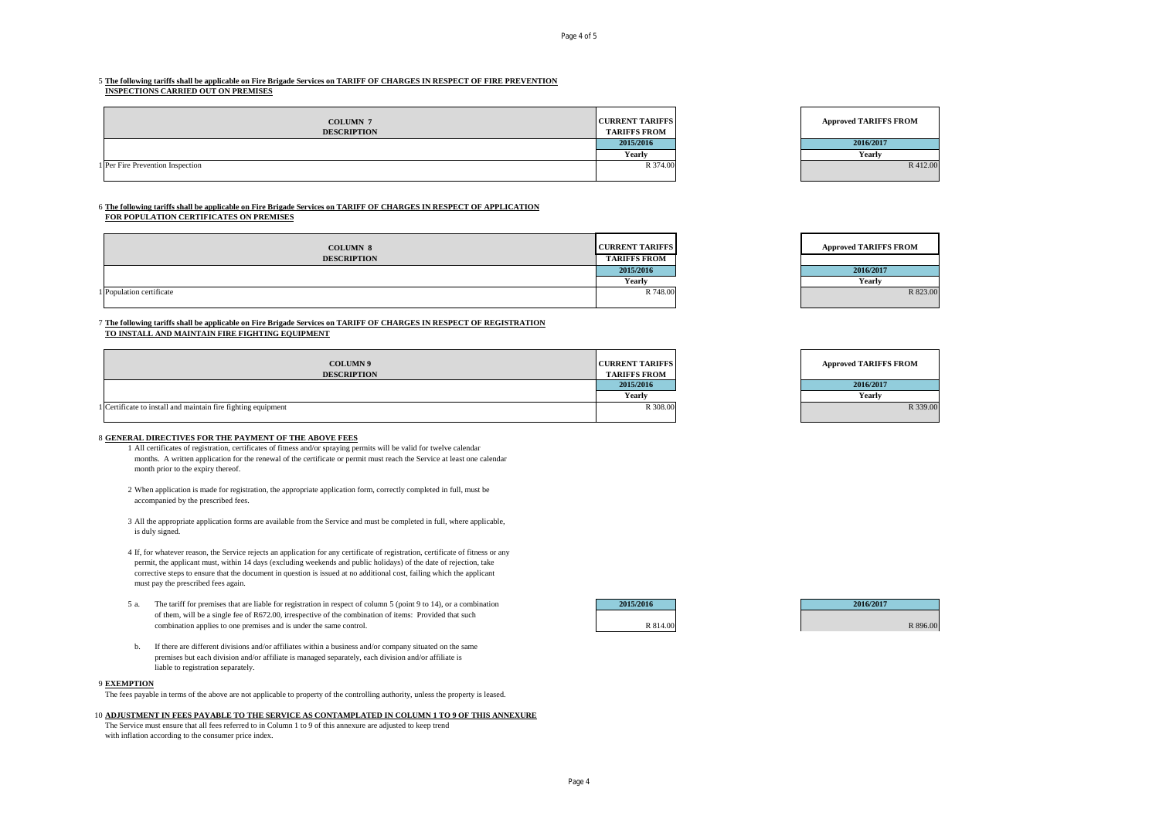## 5 **The following tariffs shall be applicable on Fire Brigade Services on TARIFF OF CHARGES IN RESPECT OF FIRE PREVENTION**

**INSPECTIONS CARRIED OUT ON PREMISES**

| <b>COLUMN 7</b><br><b>DESCRIPTION</b> | <b>CURRENT TARIFFS</b><br><b>TARIFFS FROM</b> | <b>Approved TARIFFS FROM</b> |
|---------------------------------------|-----------------------------------------------|------------------------------|
|                                       | 2015/2016                                     | 2016/2017                    |
|                                       | Yearly                                        | Yearly                       |
|                                       | R 374.00                                      | R 412.00                     |
| 1 Per Fire Prevention Inspection      |                                               |                              |

#### 6 **The following tariffs shall be applicable on Fire Brigade Services on TARIFF OF CHARGES IN RESPECT OF APPLICATION FOR POPULATION CERTIFICATES ON PREMISES**

| <b>COLUMN 8</b>          | <b>CURRENT TARIFFS</b> | <b>Approved TARIFFS FROM</b> |
|--------------------------|------------------------|------------------------------|
| <b>DESCRIPTION</b>       | <b>TARIFFS FROM</b>    |                              |
|                          | 2015/2016              | 2016/2017                    |
|                          | Yearly                 | Yearly                       |
| 1 Population certificate | R 748.00               | R 823.00                     |
|                          |                        |                              |

### 7 **The following tariffs shall be applicable on Fire Brigade Services on TARIFF OF CHARGES IN RESPECT OF REGISTRATION TO INSTALL AND MAINTAIN FIRE FIGHTING EQUIPMENT**

| <b>COLUMN9</b><br><b>DESCRIPTION</b>                          | <b>CURRENT TARIFFS</b><br><b>TARIFFS FROM</b> | <b>Approved TARIFFS FROM</b> |
|---------------------------------------------------------------|-----------------------------------------------|------------------------------|
|                                                               | 2015/2016                                     | 2016/2017                    |
|                                                               | Yearly                                        | Yearly                       |
| 1 Certificate to install and maintain fire fighting equipment | R 308.00                                      | R 339.00                     |



#### 8 **GENERAL DIRECTIVES FOR THE PAYMENT OF THE ABOVE FEES**

- 1 All certificates of registration, certificates of fitness and/or spraying permits will be valid for twelve calendar months. A written application for the renewal of the certificate or permit must reach the Service at least one calendar month prior to the expiry thereof.
- 2 When application is made for registration, the appropriate application form, correctly completed in full, must be accompanied by the prescribed fees.
- 3 All the appropriate application forms are available from the Service and must be completed in full, where applicable, is duly signed.
- 4 If, for whatever reason, the Service rejects an application for any certificate of registration, certificate of fitness or any permit, the applicant must, within 14 days (excluding weekends and public holidays) of the date of rejection, take corrective steps to ensure that the document in question is issued at no additional cost, failing which the applicant must pay the prescribed fees again.
- 5 a. The tariff for premises that are liable for registration in respect of column 5 (point 9 to 14), or a combination **2015/2016 2016/2017** of them, will be a single fee of R672.00, irrespective of the combination of items: Provided that such combination applies to one premises and is under the same control. R 896.00 R 896.00 R 896.00 R 896.00
- b. If there are different divisions and/or affiliates within a business and/or company situated on the same premises but each division and/or affiliate is managed separately, each division and/or affiliate is liable to registration separately.

#### 9 **EXEMPTION**

The fees payable in terms of the above are not applicable to property of the controlling authority, unless the property is leased.

#### 10 **ADJUSTMENT IN FEES PAYABLE TO THE SERVICE AS CONTAMPLATED IN COLUMN 1 TO 9 OF THIS ANNEXURE**

The Service must ensure that all fees referred to in Column 1 to 9 of this annexure are adjusted to keep trend with inflation according to the consumer price index.